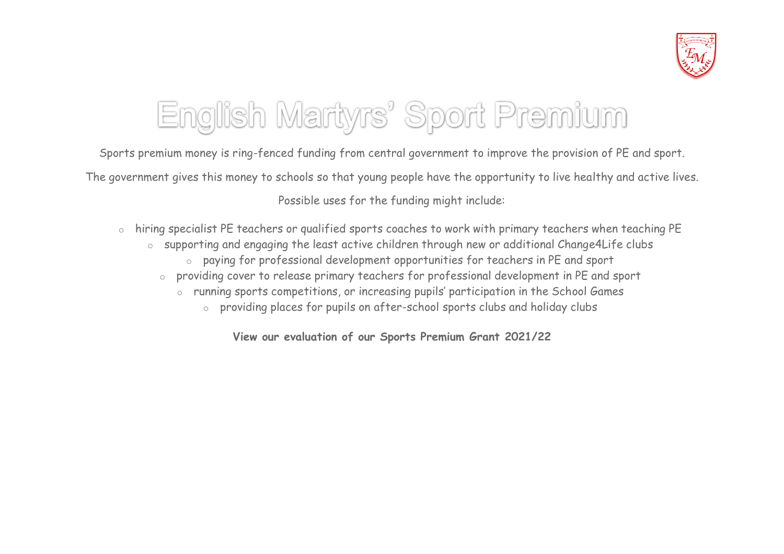

## English Martyrs' Sport Premium

Sports premium money is ring-fenced funding from central government to improve the provision of PE and sport. The government gives this money to schools so that young people have the opportunity to live healthy and active lives. Possible uses for the funding might include:

- o hiring specialist PE teachers or qualified sports coaches to work with primary teachers when teaching PE
	- o supporting and engaging the least active children through new or additional Change4Life clubs
		- o paying for professional development opportunities for teachers in PE and sport
		- o providing cover to release primary teachers for professional development in PE and sport
			- o running sports competitions, or increasing pupils' participation in the School Games
				- o providing places for pupils on after-school sports clubs and holiday clubs

**View our evaluation of our Sports Premium Grant 2021/22**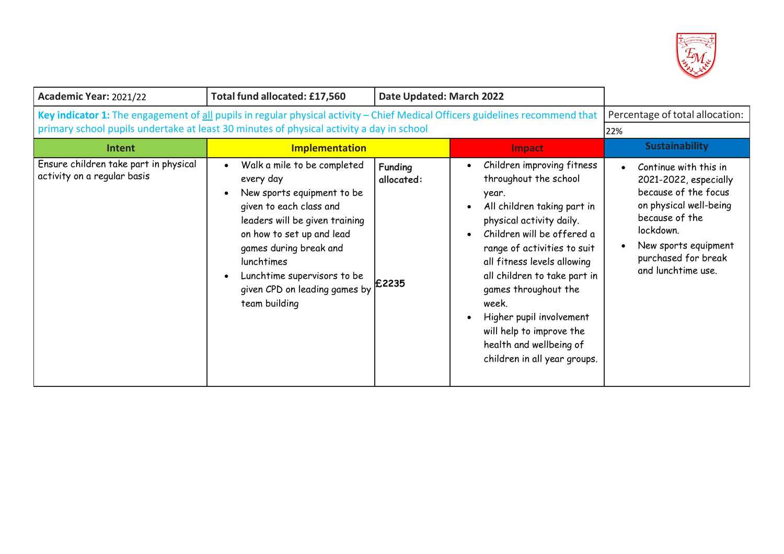

| Academic Year: 2021/22                                                                                                        | Total fund allocated: £17,560                                                                                                                                                                                                                                                             | Date Updated: March 2022              |                                                                                                                                                                                                                                                                                                                                                                                                                                                |                                                                                                                                                                                                      |
|-------------------------------------------------------------------------------------------------------------------------------|-------------------------------------------------------------------------------------------------------------------------------------------------------------------------------------------------------------------------------------------------------------------------------------------|---------------------------------------|------------------------------------------------------------------------------------------------------------------------------------------------------------------------------------------------------------------------------------------------------------------------------------------------------------------------------------------------------------------------------------------------------------------------------------------------|------------------------------------------------------------------------------------------------------------------------------------------------------------------------------------------------------|
| Key indicator 1: The engagement of all pupils in regular physical activity - Chief Medical Officers guidelines recommend that | Percentage of total allocation:                                                                                                                                                                                                                                                           |                                       |                                                                                                                                                                                                                                                                                                                                                                                                                                                |                                                                                                                                                                                                      |
| primary school pupils undertake at least 30 minutes of physical activity a day in school                                      |                                                                                                                                                                                                                                                                                           |                                       |                                                                                                                                                                                                                                                                                                                                                                                                                                                | 22%                                                                                                                                                                                                  |
| <b>Intent</b>                                                                                                                 | <b>Implementation</b>                                                                                                                                                                                                                                                                     |                                       | Impact                                                                                                                                                                                                                                                                                                                                                                                                                                         | <b>Sustainability</b>                                                                                                                                                                                |
| Ensure children take part in physical<br>activity on a regular basis                                                          | Walk a mile to be completed<br>every day<br>New sports equipment to be<br>given to each class and<br>leaders will be given training<br>on how to set up and lead<br>games during break and<br>lunchtimes<br>Lunchtime supervisors to be<br>given CPD on leading games by<br>team building | <b>Funding</b><br>allocated:<br>£2235 | Children improving fitness<br>throughout the school<br>year.<br>All children taking part in<br>$\bullet$<br>physical activity daily.<br>Children will be offered a<br>$\bullet$<br>range of activities to suit<br>all fitness levels allowing<br>all children to take part in<br>games throughout the<br>week.<br>Higher pupil involvement<br>$\bullet$<br>will help to improve the<br>health and wellbeing of<br>children in all year groups. | Continue with this in<br>2021-2022, especially<br>because of the focus<br>on physical well-being<br>because of the<br>lockdown.<br>New sports equipment<br>purchased for break<br>and lunchtime use. |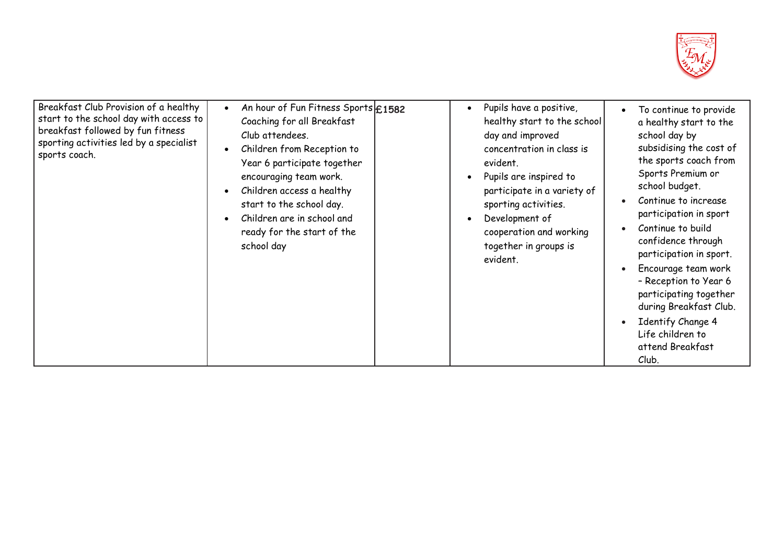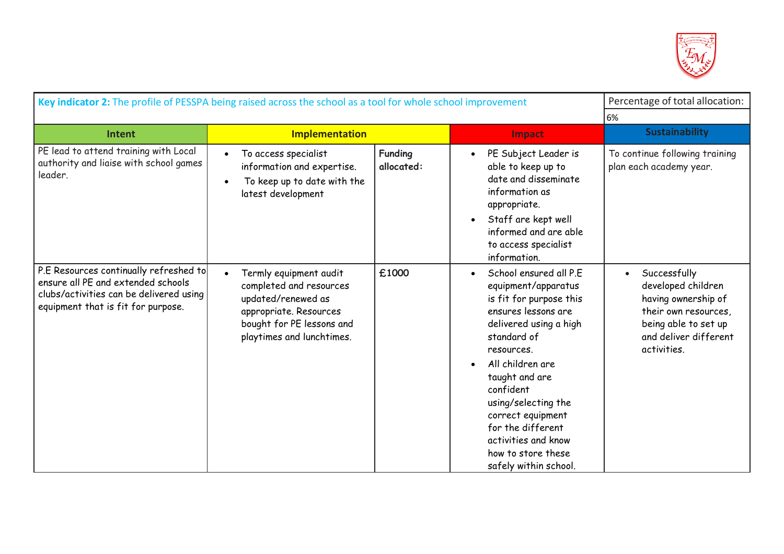

| Key indicator 2: The profile of PESSPA being raised across the school as a tool for whole school improvement                                                  | Percentage of total allocation:                                                                                                                             |                       |                                                                                                                                                                                                                                                                                                                                                   |                                                                                                                                                                |
|---------------------------------------------------------------------------------------------------------------------------------------------------------------|-------------------------------------------------------------------------------------------------------------------------------------------------------------|-----------------------|---------------------------------------------------------------------------------------------------------------------------------------------------------------------------------------------------------------------------------------------------------------------------------------------------------------------------------------------------|----------------------------------------------------------------------------------------------------------------------------------------------------------------|
|                                                                                                                                                               |                                                                                                                                                             |                       |                                                                                                                                                                                                                                                                                                                                                   | 6%                                                                                                                                                             |
| <b>Intent</b>                                                                                                                                                 | <b>Implementation</b>                                                                                                                                       |                       | Impact                                                                                                                                                                                                                                                                                                                                            | <b>Sustainability</b>                                                                                                                                          |
| PE lead to attend training with Local<br>authority and liaise with school games<br>leader.                                                                    | To access specialist<br>information and expertise.<br>To keep up to date with the<br>latest development                                                     | Funding<br>allocated: | PE Subject Leader is<br>able to keep up to<br>date and disseminate<br>information as<br>appropriate.<br>Staff are kept well<br>informed and are able<br>to access specialist<br>information.                                                                                                                                                      | To continue following training<br>plan each academy year.                                                                                                      |
| P.E Resources continually refreshed to<br>ensure all PE and extended schools<br>clubs/activities can be delivered using<br>equipment that is fit for purpose. | Termly equipment audit<br>completed and resources<br>updated/renewed as<br>appropriate. Resources<br>bought for PE lessons and<br>playtimes and lunchtimes. | £1000                 | School ensured all P.E.<br>equipment/apparatus<br>is fit for purpose this<br>ensures lessons are<br>delivered using a high<br>standard of<br>resources.<br>All children are<br>taught and are<br>confident<br>using/selecting the<br>correct equipment<br>for the different<br>activities and know<br>how to store these<br>safely within school. | Successfully<br>$\bullet$<br>developed children<br>having ownership of<br>their own resources,<br>being able to set up<br>and deliver different<br>activities. |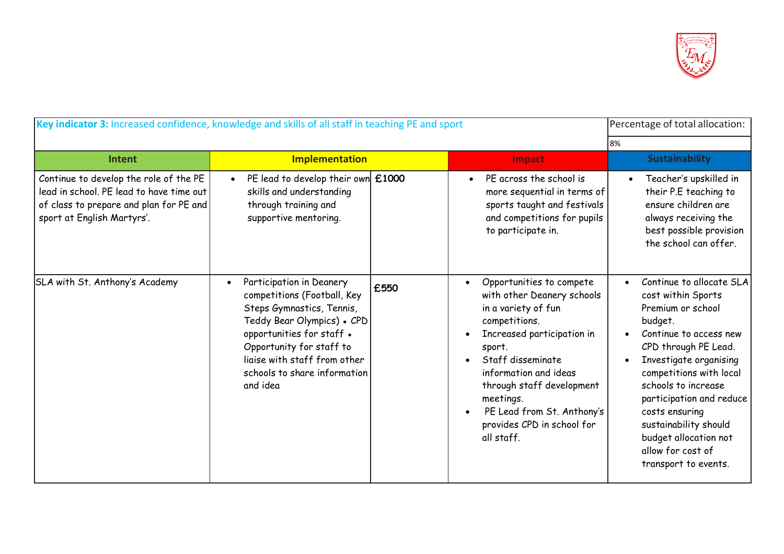

| Key indicator 3: Increased confidence, knowledge and skills of all staff in teaching PE and sport                                                           | Percentage of total allocation:                                                                                                                                                                                                                                      |      |                                                                                                                                                                                                                                                                                                          |                                                                                                                                                                                                                                                                                                                                                           |  |
|-------------------------------------------------------------------------------------------------------------------------------------------------------------|----------------------------------------------------------------------------------------------------------------------------------------------------------------------------------------------------------------------------------------------------------------------|------|----------------------------------------------------------------------------------------------------------------------------------------------------------------------------------------------------------------------------------------------------------------------------------------------------------|-----------------------------------------------------------------------------------------------------------------------------------------------------------------------------------------------------------------------------------------------------------------------------------------------------------------------------------------------------------|--|
|                                                                                                                                                             |                                                                                                                                                                                                                                                                      |      |                                                                                                                                                                                                                                                                                                          | 8%                                                                                                                                                                                                                                                                                                                                                        |  |
| Intent                                                                                                                                                      | <b>Implementation</b>                                                                                                                                                                                                                                                |      | Impact                                                                                                                                                                                                                                                                                                   | <b>Sustainability</b>                                                                                                                                                                                                                                                                                                                                     |  |
| Continue to develop the role of the PE<br>lead in school. PE lead to have time out<br>of class to prepare and plan for PE and<br>sport at English Martyrs'. | PE lead to develop their own $£1000$<br>skills and understanding<br>through training and<br>supportive mentoring.                                                                                                                                                    |      | PE across the school is<br>$\bullet$<br>more sequential in terms of<br>sports taught and festivals<br>and competitions for pupils<br>to participate in.                                                                                                                                                  | Teacher's upskilled in<br>their P.E teaching to<br>ensure children are<br>always receiving the<br>best possible provision<br>the school can offer.                                                                                                                                                                                                        |  |
| SLA with St. Anthony's Academy                                                                                                                              | Participation in Deanery<br>$\bullet$<br>competitions (Football, Key<br>Steps Gymnastics, Tennis,<br>Teddy Bear Olympics) - CPD<br>opportunities for staff .<br>Opportunity for staff to<br>liaise with staff from other<br>schools to share information<br>and idea | £550 | Opportunities to compete<br>with other Deanery schools<br>in a variety of fun<br>competitions.<br>Increased participation in<br>sport.<br>Staff disseminate<br>information and ideas<br>through staff development<br>meetings.<br>PE Lead from St. Anthony's<br>provides CPD in school for<br>all staff. | Continue to allocate SLA<br>cost within Sports<br>Premium or school<br>budget.<br>Continue to access new<br>CPD through PE Lead.<br>Investigate organising<br>competitions with local<br>schools to increase<br>participation and reduce<br>costs ensuring<br>sustainability should<br>budget allocation not<br>allow for cost of<br>transport to events. |  |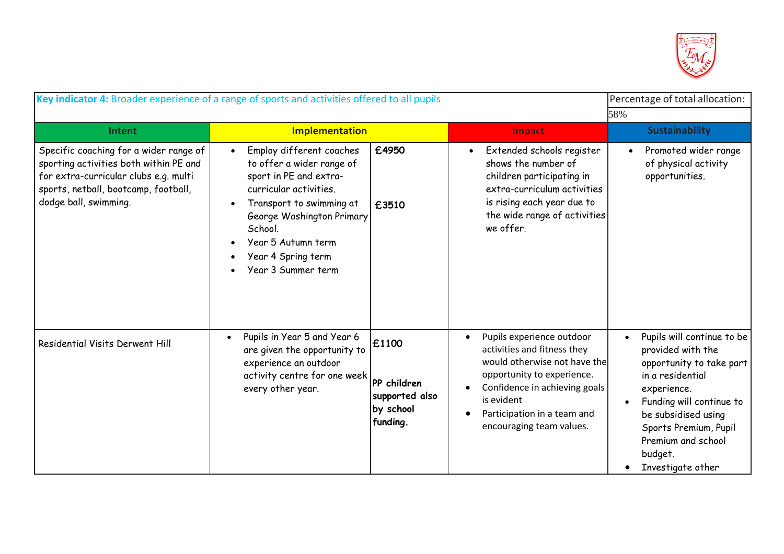

| Key indicator 4: Broader experience of a range of sports and activities offered to all pupils                                                                                              | Percentage of total allocation:                                                                                                                                                                                                                 |                                                                 |                                                                                                                                                                                                                                  |                                                                                                                                                                                                                                                  |
|--------------------------------------------------------------------------------------------------------------------------------------------------------------------------------------------|-------------------------------------------------------------------------------------------------------------------------------------------------------------------------------------------------------------------------------------------------|-----------------------------------------------------------------|----------------------------------------------------------------------------------------------------------------------------------------------------------------------------------------------------------------------------------|--------------------------------------------------------------------------------------------------------------------------------------------------------------------------------------------------------------------------------------------------|
|                                                                                                                                                                                            |                                                                                                                                                                                                                                                 |                                                                 |                                                                                                                                                                                                                                  | 58%                                                                                                                                                                                                                                              |
| Intent                                                                                                                                                                                     | <b>Implementation</b>                                                                                                                                                                                                                           |                                                                 | Impact                                                                                                                                                                                                                           | <b>Sustainability</b>                                                                                                                                                                                                                            |
| Specific coaching for a wider range of<br>sporting activities both within PE and<br>for extra-curricular clubs e.g. multi<br>sports, netball, bootcamp, football,<br>dodge ball, swimming. | Employ different coaches<br>to offer a wider range of<br>sport in PE and extra-<br>curricular activities.<br>Transport to swimming at<br>George Washington Primary<br>School.<br>Year 5 Autumn term<br>Year 4 Spring term<br>Year 3 Summer term | £4950<br>£3510                                                  | Extended schools register<br>$\bullet$<br>shows the number of<br>children participating in<br>extra-curriculum activities<br>is rising each year due to<br>the wide range of activities<br>we offer.                             | Promoted wider range<br>of physical activity<br>opportunities.                                                                                                                                                                                   |
| Residential Visits Derwent Hill                                                                                                                                                            | Pupils in Year 5 and Year 6<br>$\bullet$<br>are given the opportunity to<br>experience an outdoor<br>activity centre for one week<br>every other year.                                                                                          | £1100<br>PP children<br>supported also<br>by school<br>funding. | Pupils experience outdoor<br>activities and fitness they<br>would otherwise not have the<br>opportunity to experience.<br>Confidence in achieving goals<br>is evident<br>Participation in a team and<br>encouraging team values. | Pupils will continue to be<br>provided with the<br>opportunity to take part<br>in a residential<br>experience.<br>Funding will continue to<br>be subsidised using<br>Sports Premium, Pupil<br>Premium and school<br>budget.<br>Investigate other |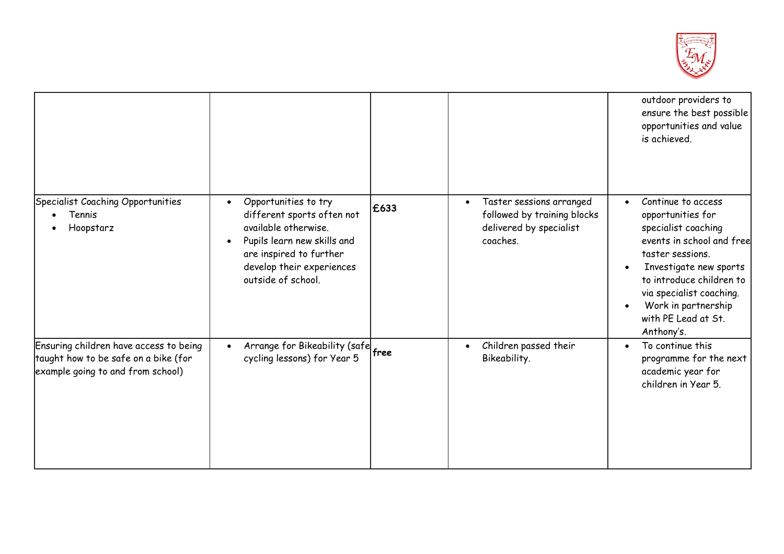

|                                                                                                                     |                                                                                                                                                                                                                   |      |                                                                                                             | outdoor providers to<br>ensure the best possible<br>opportunities and value<br>is achieved.                                                                                                                                                                   |
|---------------------------------------------------------------------------------------------------------------------|-------------------------------------------------------------------------------------------------------------------------------------------------------------------------------------------------------------------|------|-------------------------------------------------------------------------------------------------------------|---------------------------------------------------------------------------------------------------------------------------------------------------------------------------------------------------------------------------------------------------------------|
| Specialist Coaching Opportunities<br>Tennis<br>Hoopstarz                                                            | Opportunities to try<br>$\bullet$<br>different sports often not<br>available otherwise.<br>Pupils learn new skills and<br>$\bullet$<br>are inspired to further<br>develop their experiences<br>outside of school. | £633 | Taster sessions arranged<br>$\bullet$<br>followed by training blocks<br>delivered by specialist<br>coaches. | Continue to access<br>opportunities for<br>specialist coaching<br>events in school and free<br>taster sessions.<br>Investigate new sports<br>to introduce children to<br>via specialist coaching.<br>Work in partnership<br>with PE Lead at St.<br>Anthony's. |
| Ensuring children have access to being<br>taught how to be safe on a bike (for<br>example going to and from school) | Arrange for Bikeability (safe free<br>$\bullet$<br>cycling lessons) for Year 5                                                                                                                                    |      | Children passed their<br>Bikeability.                                                                       | To continue this<br>$\bullet$<br>programme for the next<br>academic year for<br>children in Year 5.                                                                                                                                                           |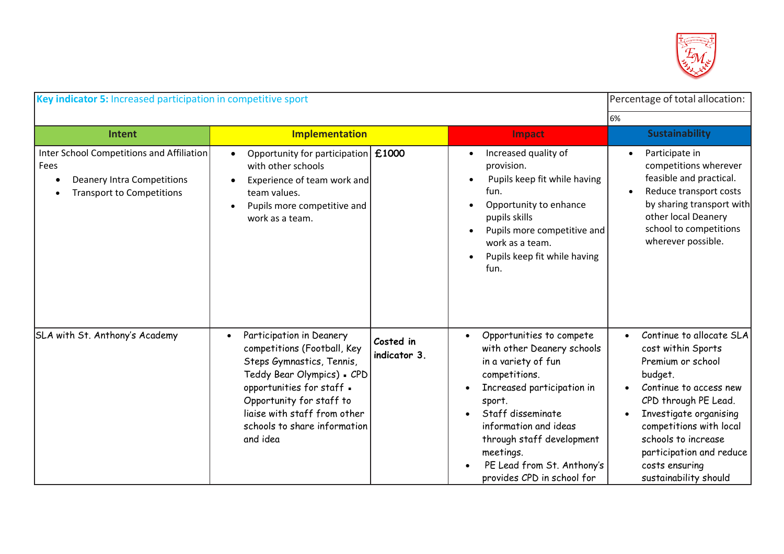

| Key indicator 5: Increased participation in competitive sport                                                              | Percentage of total allocation:                                                                                                                                                                                                                                      |                           |                                                                                                                                                                                                                                                                                                         |                                                                                                                                                                                                                                                                                     |
|----------------------------------------------------------------------------------------------------------------------------|----------------------------------------------------------------------------------------------------------------------------------------------------------------------------------------------------------------------------------------------------------------------|---------------------------|---------------------------------------------------------------------------------------------------------------------------------------------------------------------------------------------------------------------------------------------------------------------------------------------------------|-------------------------------------------------------------------------------------------------------------------------------------------------------------------------------------------------------------------------------------------------------------------------------------|
|                                                                                                                            |                                                                                                                                                                                                                                                                      |                           |                                                                                                                                                                                                                                                                                                         | 6%                                                                                                                                                                                                                                                                                  |
| Intent                                                                                                                     | <b>Implementation</b>                                                                                                                                                                                                                                                |                           | Impact                                                                                                                                                                                                                                                                                                  | <b>Sustainability</b>                                                                                                                                                                                                                                                               |
| Inter School Competitions and Affiliation<br>Fees<br><b>Deanery Intra Competitions</b><br><b>Transport to Competitions</b> | Opportunity for participation   £1000<br>with other schools<br>Experience of team work and<br>$\bullet$<br>team values.<br>Pupils more competitive and<br>$\bullet$<br>work as a team.                                                                               |                           | Increased quality of<br>$\bullet$<br>provision.<br>Pupils keep fit while having<br>fun.<br>Opportunity to enhance<br>pupils skills<br>Pupils more competitive and<br>$\bullet$<br>work as a team.<br>Pupils keep fit while having<br>fun.                                                               | Participate in<br>competitions wherever<br>feasible and practical.<br>Reduce transport costs<br>by sharing transport with<br>other local Deanery<br>school to competitions<br>wherever possible.                                                                                    |
| SLA with St. Anthony's Academy                                                                                             | Participation in Deanery<br>$\bullet$<br>competitions (Football, Key<br>Steps Gymnastics, Tennis,<br>Teddy Bear Olympics) . CPD<br>opportunities for staff .<br>Opportunity for staff to<br>liaise with staff from other<br>schools to share information<br>and idea | Costed in<br>indicator 3. | Opportunities to compete<br>$\bullet$<br>with other Deanery schools<br>in a variety of fun<br>competitions.<br>Increased participation in<br>sport.<br>Staff disseminate<br>information and ideas<br>through staff development<br>meetings.<br>PE Lead from St. Anthony's<br>provides CPD in school for | Continue to allocate SLA<br>cost within Sports<br>Premium or school<br>budget.<br>Continue to access new<br>CPD through PE Lead.<br>Investigate organising<br>competitions with local<br>schools to increase<br>participation and reduce<br>costs ensuring<br>sustainability should |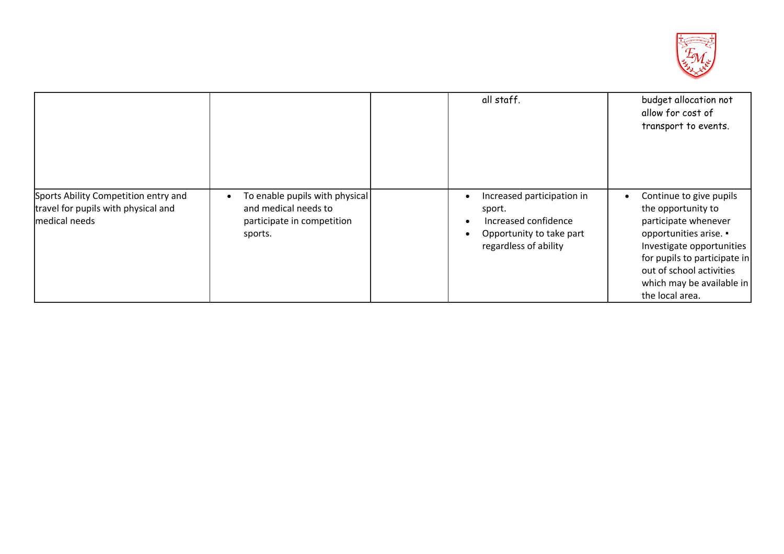

|                                                                                              |                                                                                                 | all staff.                                                                                                        | budget allocation not<br>allow for cost of<br>transport to events.                                                                                                                                                                       |
|----------------------------------------------------------------------------------------------|-------------------------------------------------------------------------------------------------|-------------------------------------------------------------------------------------------------------------------|------------------------------------------------------------------------------------------------------------------------------------------------------------------------------------------------------------------------------------------|
| Sports Ability Competition entry and<br>travel for pupils with physical and<br>medical needs | To enable pupils with physical<br>and medical needs to<br>participate in competition<br>sports. | Increased participation in<br>sport.<br>Increased confidence<br>Opportunity to take part<br>regardless of ability | Continue to give pupils<br>the opportunity to<br>participate whenever<br>opportunities arise. .<br>Investigate opportunities<br>for pupils to participate in<br>out of school activities<br>which may be available in<br>the local area. |